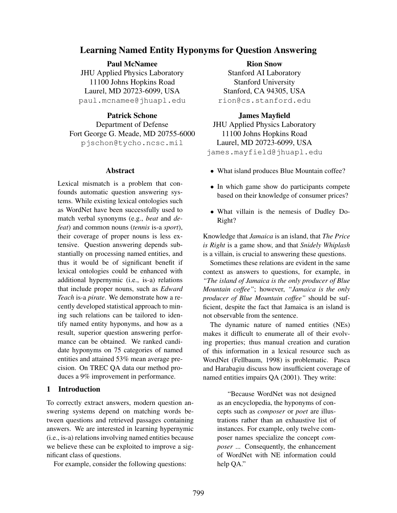# Learning Named Entity Hyponyms for Question Answering

Paul McNamee JHU Applied Physics Laboratory 11100 Johns Hopkins Road Laurel, MD 20723-6099, USA paul.mcnamee@jhuapl.edu

Patrick Schone Department of Defense Fort George G. Meade, MD 20755-6000 pjschon@tycho.ncsc.mil

## Abstract

Lexical mismatch is a problem that confounds automatic question answering systems. While existing lexical ontologies such as WordNet have been successfully used to match verbal synonyms (e.g., *beat* and *defeat*) and common nouns (*tennis* is-a *sport*), their coverage of proper nouns is less extensive. Question answering depends substantially on processing named entities, and thus it would be of significant benefit if lexical ontologies could be enhanced with additional hypernymic (i.e., is-a) relations that include proper nouns, such as *Edward Teach* is-a *pirate*. We demonstrate how a recently developed statistical approach to mining such relations can be tailored to identify named entity hyponyms, and how as a result, superior question answering performance can be obtained. We ranked candidate hyponyms on 75 categories of named entities and attained 53% mean average precision. On TREC QA data our method produces a 9% improvement in performance.

## 1 Introduction

To correctly extract answers, modern question answering systems depend on matching words between questions and retrieved passages containing answers. We are interested in learning hypernymic (i.e., is-a) relations involving named entities because we believe these can be exploited to improve a significant class of questions.

For example, consider the following questions:

Rion Snow Stanford AI Laboratory Stanford University Stanford, CA 94305, USA rion@cs.stanford.edu

James Mayfield JHU Applied Physics Laboratory 11100 Johns Hopkins Road Laurel, MD 20723-6099, USA james.mayfield@jhuapl.edu

- What island produces Blue Mountain coffee?
- In which game show do participants compete based on their knowledge of consumer prices?
- What villain is the nemesis of Dudley Do-Right?

Knowledge that *Jamaica* is an island, that *The Price is Right* is a game show, and that *Snidely Whiplash* is a villain, is crucial to answering these questions.

Sometimes these relations are evident in the same context as answers to questions, for example, in *"The island of Jamaica is the only producer of Blue Mountain coffee"*; however, *"Jamaica is the only producer of Blue Mountain coffee"* should be sufficient, despite the fact that Jamaica is an island is not observable from the sentence.

The dynamic nature of named entities (NEs) makes it difficult to enumerate all of their evolving properties; thus manual creation and curation of this information in a lexical resource such as WordNet (Fellbaum, 1998) is problematic. Pasca and Harabagiu discuss how insufficient coverage of named entities impairs QA (2001). They write:

"Because WordNet was not designed as an encyclopedia, the hyponyms of concepts such as *composer* or *poet* are illustrations rather than an exhaustive list of instances. For example, only twelve composer names specialize the concept *composer* ... Consequently, the enhancement of WordNet with NE information could help QA."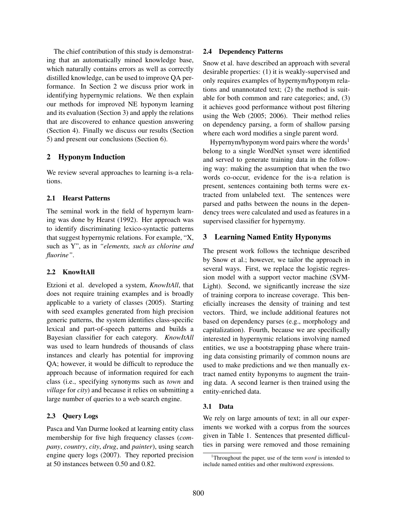The chief contribution of this study is demonstrating that an automatically mined knowledge base, which naturally contains errors as well as correctly distilled knowledge, can be used to improve QA performance. In Section 2 we discuss prior work in identifying hypernymic relations. We then explain our methods for improved NE hyponym learning and its evaluation (Section 3) and apply the relations that are discovered to enhance question answering (Section 4). Finally we discuss our results (Section 5) and present our conclusions (Section 6).

# 2 Hyponym Induction

We review several approaches to learning is-a relations.

# 2.1 Hearst Patterns

The seminal work in the field of hypernym learning was done by Hearst (1992). Her approach was to identify discriminating lexico-syntactic patterns that suggest hypernymic relations. For example, "X, such as Y", as in *"elements, such as chlorine and fluorine"*.

# 2.2 KnowItAll

Etzioni et al. developed a system, *KnowItAll*, that does not require training examples and is broadly applicable to a variety of classes (2005). Starting with seed examples generated from high precision generic patterns, the system identifies class-specific lexical and part-of-speech patterns and builds a Bayesian classifier for each category. *KnowItAll* was used to learn hundreds of thousands of class instances and clearly has potential for improving QA; however, it would be difficult to reproduce the approach because of information required for each class (i.e., specifying synonyms such as *town* and *village* for *city*) and because it relies on submitting a large number of queries to a web search engine.

# 2.3 Query Logs

Pasca and Van Durme looked at learning entity class membership for five high frequency classes (*company*, *country*, *city*, *drug*, and *painter*), using search engine query logs (2007). They reported precision at 50 instances between 0.50 and 0.82.

# 2.4 Dependency Patterns

Snow et al. have described an approach with several desirable properties: (1) it is weakly-supervised and only requires examples of hypernym/hyponym relations and unannotated text; (2) the method is suitable for both common and rare categories; and, (3) it achieves good performance without post filtering using the Web (2005; 2006). Their method relies on dependency parsing, a form of shallow parsing where each word modifies a single parent word.

Hypernym/hyponym word pairs where the words<sup>1</sup> belong to a single WordNet synset were identified and served to generate training data in the following way: making the assumption that when the two words co-occur, evidence for the is-a relation is present, sentences containing both terms were extracted from unlabeled text. The sentences were parsed and paths between the nouns in the dependency trees were calculated and used as features in a supervised classifier for hypernymy.

# 3 Learning Named Entity Hyponyms

The present work follows the technique described by Snow et al.; however, we tailor the approach in several ways. First, we replace the logistic regression model with a support vector machine (SVM-Light). Second, we significantly increase the size of training corpora to increase coverage. This beneficially increases the density of training and test vectors. Third, we include additional features not based on dependency parses (e.g., morphology and capitalization). Fourth, because we are specifically interested in hypernymic relations involving named entities, we use a bootstrapping phase where training data consisting primarily of common nouns are used to make predictions and we then manually extract named entity hyponyms to augment the training data. A second learner is then trained using the entity-enriched data.

# 3.1 Data

We rely on large amounts of text; in all our experiments we worked with a corpus from the sources given in Table 1. Sentences that presented difficulties in parsing were removed and those remaining

<sup>1</sup>Throughout the paper, use of the term *word* is intended to include named entities and other multiword expressions.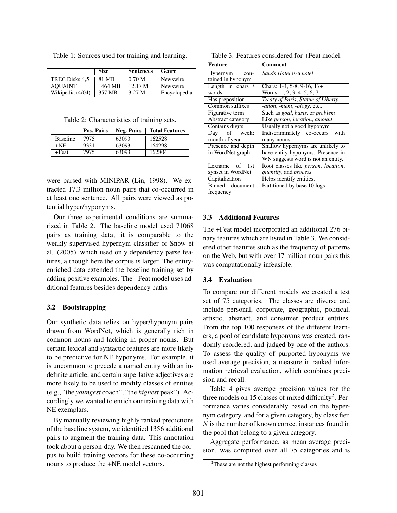|                  | <b>Size</b> | <b>Sentences</b>  | Genre        |
|------------------|-------------|-------------------|--------------|
| TREC Disks 4.5   | 81 MB       | 0.70 <sub>M</sub> | Newswire     |
| <b>AOUAINT</b>   | 1464 MB     | 12.17 M           | Newswire     |
| Wikipedia (4/04) | 357 MB      | 3.27 M            | Encyclopedia |

Table 1: Sources used for training and learning.

Table 2: Characteristics of training sets.

|                 | Pos. Pairs | Neg. Pairs | <b>Total Features</b> |
|-----------------|------------|------------|-----------------------|
| <b>Baseline</b> | 7975       | 63093      | 162528                |
| $+NE$           | 9331       | 63093      | 164298                |
| +Feat           | 7975       | 63093      | 162804                |

were parsed with MINIPAR (Lin, 1998). We extracted 17.3 million noun pairs that co-occurred in at least one sentence. All pairs were viewed as potential hyper/hyponyms.

Our three experimental conditions are summarized in Table 2. The baseline model used 71068 pairs as training data; it is comparable to the weakly-supervised hypernym classifier of Snow et al. (2005), which used only dependency parse features, although here the corpus is larger. The entityenriched data extended the baseline training set by adding positive examples. The +Feat model uses additional features besides dependency paths.

# 3.2 Bootstrapping

Our synthetic data relies on hyper/hyponym pairs drawn from WordNet, which is generally rich in common nouns and lacking in proper nouns. But certain lexical and syntactic features are more likely to be predictive for NE hyponyms. For example, it is uncommon to precede a named entity with an indefinite article, and certain superlative adjectives are more likely to be used to modify classes of entities (e.g., "the *youngest* coach", "the *highest* peak"). Accordingly we wanted to enrich our training data with NE exemplars.

By manually reviewing highly ranked predictions of the baseline system, we identified 1356 additional pairs to augment the training data. This annotation took about a person-day. We then rescanned the corpus to build training vectors for these co-occurring nouns to produce the +NE model vectors.

Table 3: Features considered for +Feat model.

| Sands Hotel is-a hotel<br>Hypernym<br>con-<br>tained in hyponym<br>Length in chars /<br>Chars: 1-4, 5-8, 9-16, 17+<br>words<br>Words: 1, 2, 3, 4, 5, 6, 7+<br>Has preposition<br>Treaty of Paris; Statue of Liberty<br>Common suffixes<br>-ation, -ment, -ology, etc<br>Figurative term<br>Such as <i>goal</i> , <i>basis</i> , or <i>problem</i><br>Like person, location, amount<br>Abstract category<br>Contains digits<br>Usually not a good hyponym<br>Indiscriminately co-occurs<br>Day of week:<br>with<br>month of year<br>many nouns.<br>Presence and depth<br>Shallow hypernyms are unlikely to<br>have entity hyponyms. Presence in<br>in WordNet graph<br>WN suggests word is not an entity.<br>Root classes like <i>person</i> , <i>location</i> ,<br>Lexname<br>- of<br>1st<br>synset in WordNet<br><i>quantity</i> , and <i>process</i> . | Feature        | Comment                  |
|----------------------------------------------------------------------------------------------------------------------------------------------------------------------------------------------------------------------------------------------------------------------------------------------------------------------------------------------------------------------------------------------------------------------------------------------------------------------------------------------------------------------------------------------------------------------------------------------------------------------------------------------------------------------------------------------------------------------------------------------------------------------------------------------------------------------------------------------------------|----------------|--------------------------|
|                                                                                                                                                                                                                                                                                                                                                                                                                                                                                                                                                                                                                                                                                                                                                                                                                                                          |                |                          |
|                                                                                                                                                                                                                                                                                                                                                                                                                                                                                                                                                                                                                                                                                                                                                                                                                                                          |                |                          |
|                                                                                                                                                                                                                                                                                                                                                                                                                                                                                                                                                                                                                                                                                                                                                                                                                                                          |                |                          |
|                                                                                                                                                                                                                                                                                                                                                                                                                                                                                                                                                                                                                                                                                                                                                                                                                                                          |                |                          |
|                                                                                                                                                                                                                                                                                                                                                                                                                                                                                                                                                                                                                                                                                                                                                                                                                                                          |                |                          |
|                                                                                                                                                                                                                                                                                                                                                                                                                                                                                                                                                                                                                                                                                                                                                                                                                                                          |                |                          |
|                                                                                                                                                                                                                                                                                                                                                                                                                                                                                                                                                                                                                                                                                                                                                                                                                                                          |                |                          |
|                                                                                                                                                                                                                                                                                                                                                                                                                                                                                                                                                                                                                                                                                                                                                                                                                                                          |                |                          |
|                                                                                                                                                                                                                                                                                                                                                                                                                                                                                                                                                                                                                                                                                                                                                                                                                                                          |                |                          |
|                                                                                                                                                                                                                                                                                                                                                                                                                                                                                                                                                                                                                                                                                                                                                                                                                                                          |                |                          |
|                                                                                                                                                                                                                                                                                                                                                                                                                                                                                                                                                                                                                                                                                                                                                                                                                                                          |                |                          |
|                                                                                                                                                                                                                                                                                                                                                                                                                                                                                                                                                                                                                                                                                                                                                                                                                                                          |                |                          |
|                                                                                                                                                                                                                                                                                                                                                                                                                                                                                                                                                                                                                                                                                                                                                                                                                                                          |                |                          |
|                                                                                                                                                                                                                                                                                                                                                                                                                                                                                                                                                                                                                                                                                                                                                                                                                                                          |                |                          |
|                                                                                                                                                                                                                                                                                                                                                                                                                                                                                                                                                                                                                                                                                                                                                                                                                                                          |                |                          |
|                                                                                                                                                                                                                                                                                                                                                                                                                                                                                                                                                                                                                                                                                                                                                                                                                                                          |                |                          |
|                                                                                                                                                                                                                                                                                                                                                                                                                                                                                                                                                                                                                                                                                                                                                                                                                                                          | Capitalization | Helps identify entities. |
| Binned document<br>Partitioned by base 10 logs                                                                                                                                                                                                                                                                                                                                                                                                                                                                                                                                                                                                                                                                                                                                                                                                           |                |                          |
| frequency                                                                                                                                                                                                                                                                                                                                                                                                                                                                                                                                                                                                                                                                                                                                                                                                                                                |                |                          |

## 3.3 Additional Features

The +Feat model incorporated an additional 276 binary features which are listed in Table 3. We considered other features such as the frequency of patterns on the Web, but with over 17 million noun pairs this was computationally infeasible.

# 3.4 Evaluation

To compare our different models we created a test set of 75 categories. The classes are diverse and include personal, corporate, geographic, political, artistic, abstract, and consumer product entities. From the top 100 responses of the different learners, a pool of candidate hyponyms was created, randomly reordered, and judged by one of the authors. To assess the quality of purported hyponyms we used average precision, a measure in ranked information retrieval evaluation, which combines precision and recall.

Table 4 gives average precision values for the three models on 15 classes of mixed difficulty<sup>2</sup>. Performance varies considerably based on the hypernym category, and for a given category, by classifier. *N* is the number of known correct instances found in the pool that belong to a given category.

Aggregate performance, as mean average precision, was computed over all 75 categories and is

<sup>&</sup>lt;sup>2</sup>These are not the highest performing classes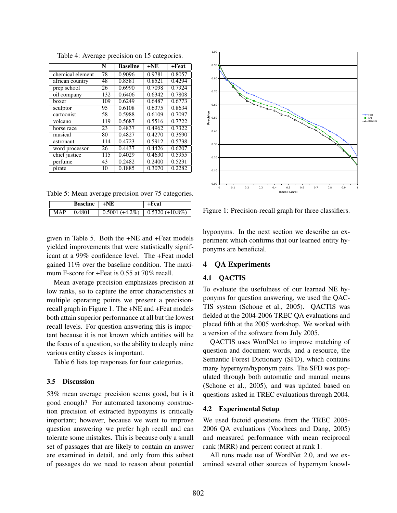|                  | N   | <b>Baseline</b> | $+NE$  | $+$ Feat |
|------------------|-----|-----------------|--------|----------|
| chemical element | 78  | 0.9096          | 0.9781 | 0.8057   |
| african country  | 48  | 0.8581          | 0.8521 | 0.4294   |
| prep school      | 26  | 0.6990          | 0.7098 | 0.7924   |
| oil company      | 132 | 0.6406          | 0.6342 | 0.7808   |
| boxer            | 109 | 0.6249          | 0.6487 | 0.6773   |
| sculptor         | 95  | 0.6108          | 0.6375 | 0.8634   |
| cartoonist       | 58  | 0.5988          | 0.6109 | 0.7097   |
| volcano          | 119 | 0.5687          | 0.5516 | 0.7722   |
| horse race       | 23  | 0.4837          | 0.4962 | 0.7322   |
| musical          | 80  | 0.4827          | 0.4270 | 0.3690   |
| astronaut        | 114 | 0.4723          | 0.5912 | 0.5738   |
| word processor   | 26  | 0.4437          | 0.4426 | 0.6207   |
| chief justice    | 115 | 0.4029          | 0.4630 | 0.5955   |
| perfume          | 43  | 0.2482          | 0.2400 | 0.5231   |
| pirate           | 10  | 0.1885          | 0.3070 | 0.2282   |

Table 4: Average precision on 15 categories.

Table 5: Mean average precision over 75 categories.

| <b>Baseline</b> $\mathbf{+}$ <b>NE</b> | +Feat                                  |
|----------------------------------------|----------------------------------------|
| $MAP$   0.4801                         | $0.5001 (+4.2\%)$   $0.5320 (+10.8\%)$ |

given in Table 5. Both the +NE and +Feat models yielded improvements that were statistically significant at a 99% confidence level. The +Feat model gained 11% over the baseline condition. The maximum F-score for +Feat is 0.55 at 70% recall.

Mean average precision emphasizes precision at low ranks, so to capture the error characteristics at multiple operating points we present a precisionrecall graph in Figure 1. The +NE and +Feat models both attain superior performance at all but the lowest recall levels. For question answering this is important because it is not known which entities will be the focus of a question, so the ability to deeply mine various entity classes is important.

Table 6 lists top responses for four categories.

#### 3.5 Discussion

53% mean average precision seems good, but is it good enough? For automated taxonomy construction precision of extracted hyponyms is critically important; however, because we want to improve question answering we prefer high recall and can tolerate some mistakes. This is because only a small set of passages that are likely to contain an answer are examined in detail, and only from this subset of passages do we need to reason about potential



Figure 1: Precision-recall graph for three classifiers.

hyponyms. In the next section we describe an experiment which confirms that our learned entity hyponyms are beneficial.

## 4 QA Experiments

## 4.1 QACTIS

To evaluate the usefulness of our learned NE hyponyms for question answering, we used the QAC-TIS system (Schone et al., 2005). QACTIS was fielded at the 2004-2006 TREC QA evaluations and placed fifth at the 2005 workshop. We worked with a version of the software from July 2005.

QACTIS uses WordNet to improve matching of question and document words, and a resource, the Semantic Forest Dictionary (SFD), which contains many hypernym/hyponym pairs. The SFD was populated through both automatic and manual means (Schone et al., 2005), and was updated based on questions asked in TREC evaluations through 2004.

## 4.2 Experimental Setup

We used factoid questions from the TREC 2005- 2006 QA evaluations (Voorhees and Dang, 2005) and measured performance with mean reciprocal rank (MRR) and percent correct at rank 1.

All runs made use of WordNet 2.0, and we examined several other sources of hypernym knowl-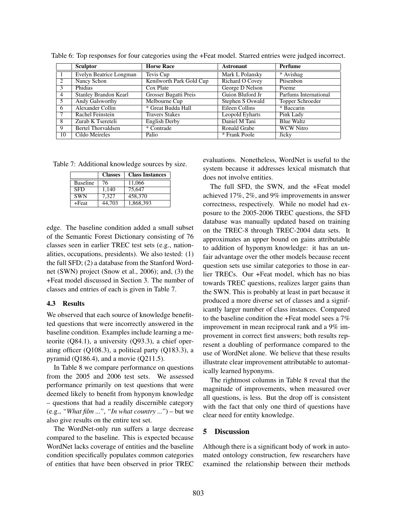|                | <b>Sculptor</b>              | <b>Horse Race</b>        | <b>Astronaut</b> | Perfume               |
|----------------|------------------------------|--------------------------|------------------|-----------------------|
|                | Evelyn Beatrice Longman      | Tevis Cup                | Mark L Polansky  | * Avishag             |
| 2              | Nancy Schon                  | Kenilworth Park Gold Cup | Richard O Covey  | Ptisenbon             |
| 3              | Phidias                      | Cox Plate                | George D Nelson  | Poeme                 |
| $\overline{4}$ | <b>Stanley Brandon Kearl</b> | Grosser Bugatti Preis    | Guion Bluford Jr | Parfums International |
| -5             | Andy Galsworthy              | Melbourne Cup            | Stephen S Oswald | Topper Schroeder      |
| 6              | Alexander Collin             | * Great Budda Hall       | Eileen Collins   | * Baccarin            |
|                | Rachel Feinstein             | <b>Travers Stakes</b>    | Leopold Eyharts  | Pink Lady             |
| 8              | Zurab K Tsereteli            | English Derby            | Daniel M Tani    | <b>Blue Waltz</b>     |
| 9              | <b>Bertel Thorvaldsen</b>    | * Contrade               | Ronald Grabe     | <b>WCW Nitro</b>      |
| 10             | Cildo Meireles               | Palio                    | * Frank Poole    | Jicky                 |

Table 6: Top responses for four categories using the +Feat model. Starred entries were judged incorrect.

Table 7: Additional knowledge sources by size.

|                 | <b>Classes</b> | <b>Class Instances</b> |
|-----------------|----------------|------------------------|
| <b>Baseline</b> | 76             | 11,066                 |
| <b>SFD</b>      | 1,140          | 75,647                 |
| <b>SWN</b>      | 7.327          | 458,370                |
| $+Feat$         | 44.703         | 1,868,393              |

edge. The baseline condition added a small subset of the Semantic Forest Dictionary consisting of 76 classes seen in earlier TREC test sets (e.g., nationalities, occupations, presidents). We also tested: (1) the full SFD; (2) a database from the Stanford Wordnet (SWN) project (Snow et al., 2006); and, (3) the +Feat model discussed in Section 3. The number of classes and entries of each is given in Table 7.

## 4.3 Results

We observed that each source of knowledge benefitted questions that were incorrectly answered in the baseline condition. Examples include learning a meteorite (Q84.1), a university (Q93.3), a chief operating officer (Q108.3), a political party (Q183.3), a pyramid (Q186.4), and a movie (Q211.5).

In Table 8 we compare performance on questions from the 2005 and 2006 test sets. We assessed performance primarily on test questions that were deemed likely to benefit from hyponym knowledge – questions that had a readily discernible category (e.g., *"What film ..."*, *"In what country ..."*) – but we also give results on the entire test set.

The WordNet-only run suffers a large decrease compared to the baseline. This is expected because WordNet lacks coverage of entities and the baseline condition specifically populates common categories of entities that have been observed in prior TREC

evaluations. Nonetheless, WordNet is useful to the system because it addresses lexical mismatch that does not involve entities.

The full SFD, the SWN, and the +Feat model achieved 17%, 2%, and 9% improvements in answer correctness, respectively. While no model had exposure to the 2005-2006 TREC questions, the SFD database was manually updated based on training on the TREC-8 through TREC-2004 data sets. It approximates an upper bound on gains attributable to addition of hyponym knowledge: it has an unfair advantage over the other models because recent question sets use similar categories to those in earlier TRECs. Our +Feat model, which has no bias towards TREC questions, realizes larger gains than the SWN. This is probably at least in part because it produced a more diverse set of classes and a significantly larger number of class instances. Compared to the baseline condition the +Feat model sees a 7% improvement in mean reciprocal rank and a 9% improvement in correct first answers; both results represent a doubling of performance compared to the use of WordNet alone. We believe that these results illustrate clear improvement attributable to automatically learned hyponyms.

The rightmost columns in Table 8 reveal that the magnitude of improvements, when measured over all questions, is less. But the drop off is consistent with the fact that only one third of questions have clear need for entity knowledge.

## 5 Discussion

Although there is a significant body of work in automated ontology construction, few researchers have examined the relationship between their methods